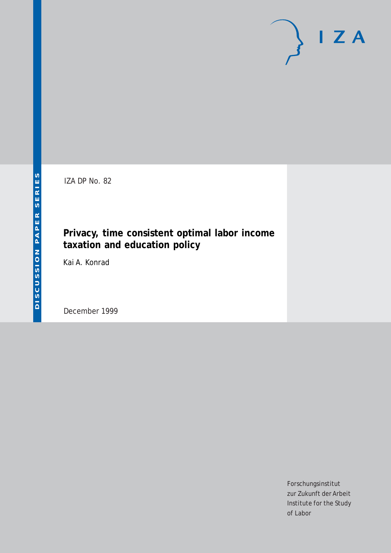# $I Z A$

IZA DP No. 82

# **Privacy, time consistent optimal labor income taxation and education policy**

Kai A. Konrad

December 1999

Forschungsinstitut zur Zukunft der Arbeit Institute for the Study of Labor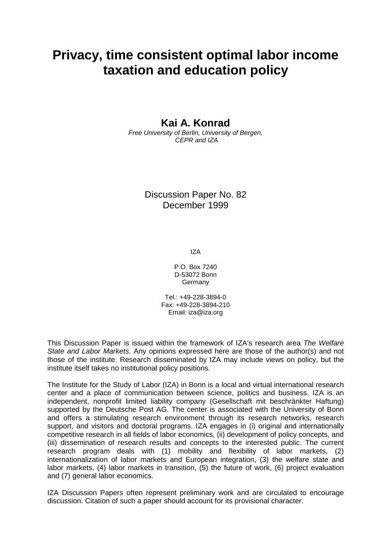# **Privacy, time consistent optimal labor income taxation and education policy**

## **Kai A. Konrad**

Free University of Berlin, University of Bergen, CEPR and IZA

### Discussion Paper No. 82 December 1999

IZA

P.O. Box 7240 D-53072 Bonn Germany

Tel.: +49-228-3894-0 Fax: +49-228-3894-210 Email: iza@iza.org

This Discussion Paper is issued within the framework of IZA's research area The Welfare State and Labor Markets. Any opinions expressed here are those of the author(s) and not those of the institute. Research disseminated by IZA may include views on policy, but the institute itself takes no institutional policy positions.

The Institute for the Study of Labor (IZA) in Bonn is a local and virtual international research center and a place of communication between science, politics and business. IZA is an independent, nonprofit limited liability company (Gesellschaft mit beschränkter Haftung) supported by the Deutsche Post AG. The center is associated with the University of Bonn and offers a stimulating research environment through its research networks, research support, and visitors and doctoral programs. IZA engages in (i) original and internationally competitive research in all fields of labor economics, (ii) development of policy concepts, and (iii) dissemination of research results and concepts to the interested public. The current research program deals with (1) mobility and flexibility of labor markets, (2) internationalization of labor markets and European integration, (3) the welfare state and labor markets, (4) labor markets in transition, (5) the future of work, (6) project evaluation and (7) general labor economics.

IZA Discussion Papers often represent preliminary work and are circulated to encourage discussion. Citation of such a paper should account for its provisional character.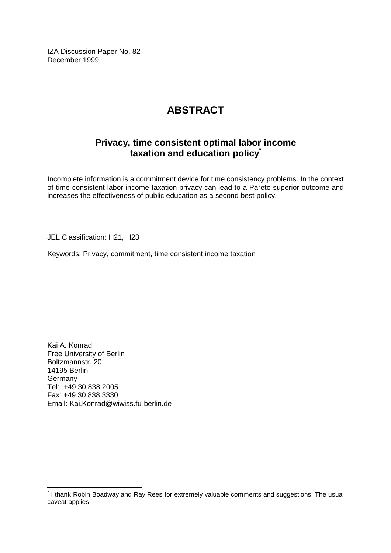IZA Discussion Paper No. 82 December 1999

# **ABSTRACT**

## **Privacy, time consistent optimal labor income taxation and education policy\***

Incomplete information is a commitment device for time consistency problems. In the context of time consistent labor income taxation privacy can lead to a Pareto superior outcome and increases the effectiveness of public education as a second best policy.

JEL Classification: H21, H23

Keywords: Privacy, commitment, time consistent income taxation

Kai A. Konrad Free University of Berlin Boltzmannstr. 20 14195 Berlin Germany Tel: +49 30 838 2005 Fax: +49 30 838 3330 Email: Kai.Konrad@wiwiss.fu-berlin.de

 $\overline{a}$ 

<sup>\*</sup> I thank Robin Boadway and Ray Rees for extremely valuable comments and suggestions. The usual caveat applies.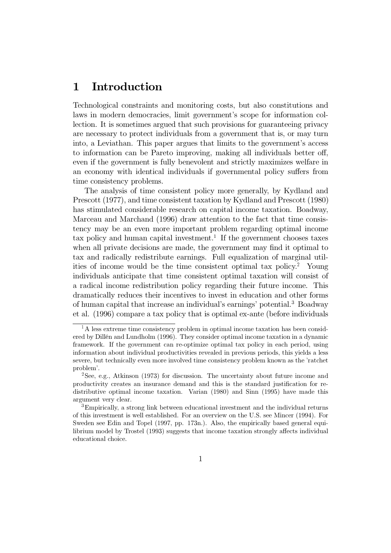#### Introduction 1

Technological constraints and monitoring costs, but also constitutions and laws in modern democracies, limit government's scope for information collection. It is sometimes argued that such provisions for guaranteeing privacy are necessary to protect individuals from a government that is, or may turn into, a Leviathan. This paper argues that limits to the government's access to information can be Pareto improving, making all individuals better off, even if the government is fully benevolent and strictly maximizes welfare in an economy with identical individuals if governmental policy suffers from time consistency problems.

The analysis of time consistent policy more generally, by Kydland and Prescott (1977), and time consistent taxation by Kydland and Prescott (1980) has stimulated considerable research on capital income taxation. Boadway, Marceau and Marchand (1996) draw attention to the fact that time consistency may be an even more important problem regarding optimal income tax policy and human capital investment.<sup>1</sup> If the government chooses taxes when all private decisions are made, the government may find it optimal to tax and radically redistribute earnings. Full equalization of marginal utilities of income would be the time consistent optimal tax policy.<sup>2</sup> Young individuals anticipate that time consistent optimal taxation will consist of a radical income redistribution policy regarding their future income. This dramatically reduces their incentives to invest in education and other forms of human capital that increase an individual's earnings' potential.<sup>3</sup> Boadway et al. (1996) compare a tax policy that is optimal ex-ante (before individuals

 ${}^{1}$ A less extreme time consistency problem in optimal income taxation has been considered by Dillén and Lundholm (1996). They consider optimal income taxation in a dynamic framework. If the government can re-optimize optimal tax policy in each period, using information about individual productivities revealed in previous periods, this yields a less severe, but technically even more involved time consistency problem known as the 'ratchet problem'.

<sup>&</sup>lt;sup>2</sup>See, e.g., Atkinson (1973) for discussion. The uncertainty about future income and productivity creates an insurance demand and this is the standard justification for redistributive optimal income taxation. Varian (1980) and Sinn (1995) have made this argument very clear.

<sup>&</sup>lt;sup>3</sup>Empirically, a strong link between educational investment and the individual returns of this investment is well established. For an overview on the U.S. see Mincer (1994). For Sweden see Edin and Topel (1997, pp. 173n.). Also, the empirically based general equilibrium model by Trostel (1993) suggests that income taxation strongly affects individual educational choice.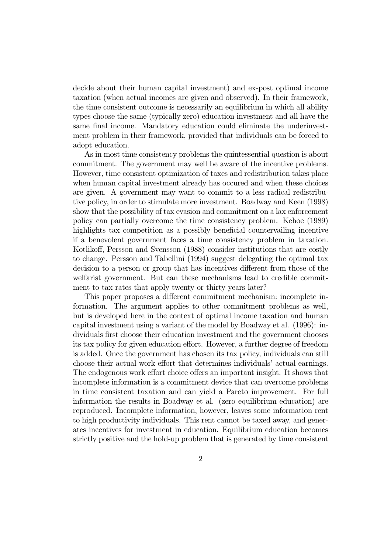decide about their human capital investment) and ex-post optimal income taxation (when actual incomes are given and observed). In their framework, the time consistent outcome is necessarily an equilibrium in which all ability types choose the same (typically zero) education investment and all have the same final income. Mandatory education could eliminate the underinvestment problem in their framework, provided that individuals can be forced to adopt education.

As in most time consistency problems the quintessential question is about commitment. The government may well be aware of the incentive problems. However, time consistent optimization of taxes and redistribution takes place when human capital investment already has occurred and when these choices are given. A government may want to commit to a less radical redistributive policy, in order to stimulate more investment. Boadway and Keen (1998) show that the possibility of tax evasion and commitment on a lax enforcement policy can partially overcome the time consistency problem. Kehoe (1989) highlights tax competition as a possibly beneficial countervailing incentive if a benevolent government faces a time consistency problem in taxation. Kotlikoff, Persson and Svensson (1988) consider institutions that are costly to change. Persson and Tabellini (1994) suggest delegating the optimal tax decision to a person or group that has incentives different from those of the welfarist government. But can these mechanisms lead to credible commitment to tax rates that apply twenty or thirty years later?

This paper proposes a different commitment mechanism: incomplete information. The argument applies to other commitment problems as well, but is developed here in the context of optimal income taxation and human capital investment using a variant of the model by Boadway et al. (1996): individuals first choose their education investment and the government chooses its tax policy for given education effort. However, a further degree of freedom is added. Once the government has chosen its tax policy, individuals can still choose their actual work effort that determines individuals' actual earnings. The endogenous work effort choice offers an important insight. It shows that incomplete information is a commitment device that can overcome problems in time consistent taxation and can yield a Pareto improvement. For full information the results in Boadway et al. (zero equilibrium education) are reproduced. Incomplete information, however, leaves some information rent to high productivity individuals. This rent cannot be taxed away, and generates incentives for investment in education. Equilibrium education becomes strictly positive and the hold-up problem that is generated by time consistent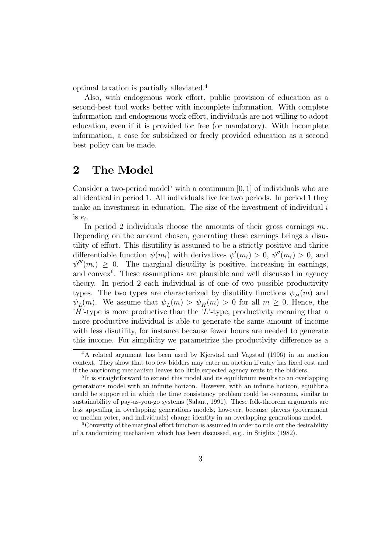optimal taxation is partially alleviated.<sup>4</sup>

Also, with endogenous work effort, public provision of education as a second-best tool works better with incomplete information. With complete information and endogenous work effort, individuals are not willing to adopt education, even if it is provided for free (or mandatory). With incomplete information, a case for subsidized or freely provided education as a second best policy can be made.

#### $\overline{2}$ The Model

Consider a two-period model<sup>5</sup> with a continuum [0, 1] of individuals who are all identical in period 1. All individuals live for two periods. In period 1 they make an investment in education. The size of the investment of individual i is  $e_i$ .

In period 2 individuals choose the amounts of their gross earnings  $m_i$ . Depending on the amount chosen, generating these earnings brings a disutility of effort. This disutility is assumed to be a strictly positive and thrice differentiable function  $\psi(m_i)$  with derivatives  $\psi'(m_i) > 0$ ,  $\psi''(m_i) > 0$ , and  $\psi'''(m_i) > 0$ . The marginal disutility is positive, increasing in earnings, and convex<sup> $6$ </sup>. These assumptions are plausible and well discussed in agency theory. In period 2 each individual is of one of two possible productivity types. The two types are characterized by disutility functions  $\psi_H(m)$  and  $\psi_L(m)$ . We assume that  $\psi_L(m) > \psi_H(m) > 0$  for all  $m \geq 0$ . Hence, the  $H$ -type is more productive than the  $L$ -type, productivity meaning that a more productive individual is able to generate the same amount of income with less disubility, for instance because fewer hours are needed to generate this income. For simplicity we parametrize the productivity difference as a

<sup>&</sup>lt;sup>4</sup>A related argument has been used by Kjerstad and Vagstad (1996) in an auction context. They show that too few bidders may enter an auction if entry has fixed cost and if the auctioning mechanism leaves too little expected agency rents to the bidders.

 ${}^{5}$ It is straightforward to extend this model and its equilibrium results to an overlapping generations model with an infinite horizon. However, with an infinite horizon, equilibria could be supported in which the time consistency problem could be overcome, similar to sustainability of pay-as-you-go systems (Salant, 1991). These folk-theorem arguments are less appealing in overlapping generations models, however, because players (government or median voter, and individuals) change identity in an overlapping generations model.

<sup>&</sup>lt;sup>6</sup> Convexity of the marginal effort function is assumed in order to rule out the desirability of a randomizing mechanism which has been discussed, e.g., in Stiglitz (1982).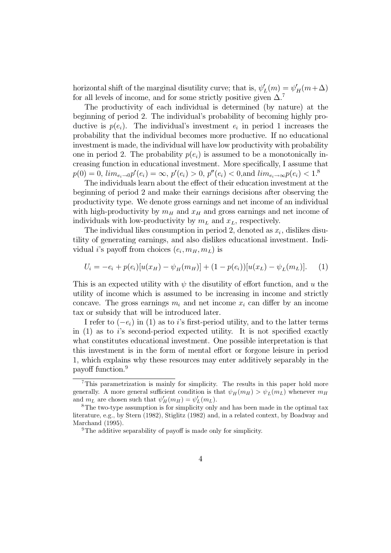horizontal shift of the marginal disutility curve; that is,  $\psi'_L(m) = \psi'_H(m + \Delta)$ for all levels of income, and for some strictly positive given  $\Delta$ .

The productivity of each individual is determined (by nature) at the beginning of period 2. The individual's probability of becoming highly productive is  $p(e_i)$ . The individual's investment  $e_i$  in period 1 increases the probability that the individual becomes more productive. If no educational investment is made, the individual will have low productivity with probability one in period 2. The probability  $p(e_i)$  is assumed to be a monotonically increasing function in educational investment. More specifically, I assume that  $p(0) = 0$ ,  $\lim_{e_i \to 0} p'(e_i) = \infty$ ,  $p'(e_i) > 0$ ,  $p''(e_i) < 0$ , and  $\lim_{e_i \to \infty} p(e_i) < 1$ .

The individuals learn about the effect of their education investment at the beginning of period 2 and make their earnings decisions after observing the productivity type. We denote gross earnings and net income of an individual with high-productivity by  $m_H$  and  $x_H$  and gross earnings and net income of individuals with low-productivity by  $m<sub>L</sub>$  and  $x<sub>L</sub>$ , respectively.

The individual likes consumption in period 2, denoted as  $x_i$ , dislikes disutility of generating earnings, and also dislikes educational investment. Individual *i*'s payoff from choices  $(e_i, m_H, m_L)$  is

$$
U_i = -e_i + p(e_i)[u(x_H) - \psi_H(m_H)] + (1 - p(e_i))[u(x_L) - \psi_L(m_L)].
$$
 (1)

This is an expected utility with  $\psi$  the disutility of effort function, and u the utility of income which is assumed to be increasing in income and strictly concave. The gross earnings  $m_i$  and net income  $x_i$  can differ by an income tax or subsidy that will be introduced later.

I refer to  $(-e_i)$  in (1) as to *i*'s first-period utility, and to the latter terms in  $(1)$  as to i's second-period expected utility. It is not specified exactly what constitutes educational investment. One possible interpretation is that this investment is in the form of mental effort or forgone leisure in period 1, which explains why these resources may enter additively separably in the payoff function.<sup>9</sup>

 $7$ This parametrization is mainly for simplicity. The results in this paper hold more generally. A more general sufficient condition is that  $\psi_H(m_H) > \psi_L(m_L)$  whenever  $m_H$ and  $m_L$  are chosen such that  $\psi'_H(m_H) = \psi'_L(m_L)$ .

 ${}^8$ The two-type assumption is for simplicity only and has been made in the optimal tax literature, e.g., by Stern (1982), Stiglitz (1982) and, in a related context, by Boadway and Marchand (1995).

<sup>&</sup>lt;sup>9</sup>The additive separability of payoff is made only for simplicity.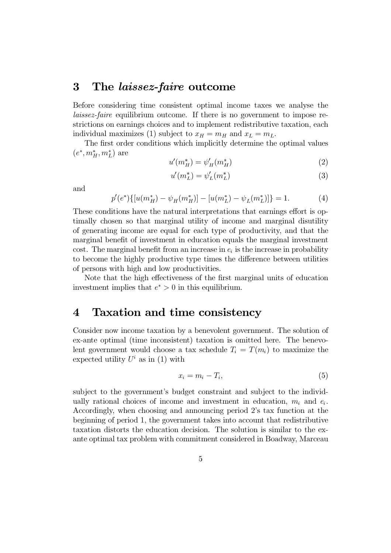#### 3 The *laissez-faire* outcome

Before considering time consistent optimal income taxes we analyse the *laissez-faire* equilibrium outcome. If there is no government to impose restrictions on earnings choices and to implement redistributive taxation, each individual maximizes (1) subject to  $x_H = m_H$  and  $x_L = m_L$ .

The first order conditions which implicitly determine the optimal values  $(e^*, m_H^*, m_L^*)$  are

$$
u'(m_H^*) = \psi'_H(m_H^*)
$$
 (2)

$$
u'(m_L^*) = \psi_L'(m_L^*)\tag{3}
$$

and

 $p'(e^*)\{[u(m_{\scriptscriptstyle H}^*) - \psi_{\scriptscriptstyle H}(m_{\scriptscriptstyle H}^*)] - [u(m_{\scriptscriptstyle T}^*) - \psi_{\scriptscriptstyle I}(m_{\scriptscriptstyle T}^*)]\} = 1.$  $(4)$ 

These conditions have the natural interpretations that earnings effort is optimally chosen so that marginal utility of income and marginal disutility of generating income are equal for each type of productivity, and that the marginal benefit of investment in education equals the marginal investment cost. The marginal benefit from an increase in  $e_i$  is the increase in probability to become the highly productive type times the difference between utilities of persons with high and low productivities.

Note that the high effectiveness of the first marginal units of education investment implies that  $e^* > 0$  in this equilibrium.

#### $\boldsymbol{4}$ Taxation and time consistency

Consider now income taxation by a benevolent government. The solution of ex-ante optimal (time inconsistent) taxation is omitted here. The benevolent government would choose a tax schedule  $T_i = T(m_i)$  to maximize the expected utility  $U^i$  as in (1) with

$$
x_i = m_i - T_i,\tag{5}
$$

subject to the government's budget constraint and subject to the individually rational choices of income and investment in education,  $m_i$  and  $e_i$ . Accordingly, when choosing and announcing period 2's tax function at the beginning of period 1, the government takes into account that redistributive taxation distorts the education decision. The solution is similar to the exante optimal tax problem with commitment considered in Boadway, Marceau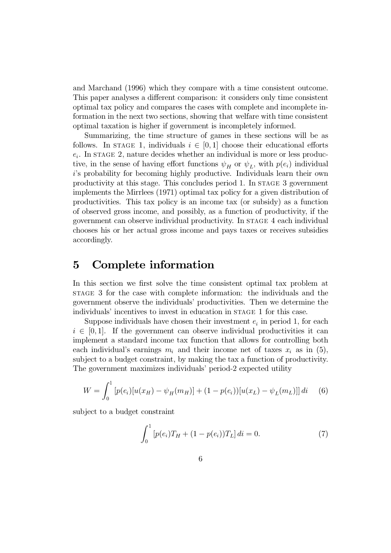and Marchand (1996) which they compare with a time consistent outcome. This paper analyses a different comparison: it considers only time consistent optimal tax policy and compares the cases with complete and incomplete information in the next two sections, showing that welfare with time consistent optimal taxation is higher if government is incompletely informed.

Summarizing, the time structure of games in these sections will be as follows. In STAGE 1, individuals  $i \in [0,1]$  choose their educational efforts  $e_i$ . In STAGE 2, nature decides whether an individual is more or less productive, in the sense of having effort functions  $\psi_H$  or  $\psi_L$ , with  $p(e_i)$  individual i's probability for becoming highly productive. Individuals learn their own productivity at this stage. This concludes period 1. In STAGE 3 government implements the Mirrlees (1971) optimal tax policy for a given distribution of productivities. This tax policy is an income tax (or subsidy) as a function of observed gross income, and possibly, as a function of productivity, if the government can observe individual productivity. In STAGE 4 each individual chooses his or her actual gross income and pays taxes or receives subsidies accordingly.

#### Complete information  $\bf{5}$

In this section we first solve the time consistent optimal tax problem at STAGE 3 for the case with complete information: the individuals and the government observe the individuals' productivities. Then we determine the individuals' incentives to invest in education in STAGE 1 for this case.

Suppose individuals have chosen their investment  $e_i$  in period 1, for each  $i \in [0,1]$ . If the government can observe individual productivities it can implement a standard income tax function that allows for controlling both each individual's earnings  $m_i$  and their income net of taxes  $x_i$  as in (5), subject to a budget constraint, by making the tax a function of productivity. The government maximizes individuals' period-2 expected utility

$$
W = \int_0^1 \left[ p(e_i) [u(x_H) - \psi_H(m_H)] + (1 - p(e_i)) [u(x_L) - \psi_L(m_L)] \right] di \tag{6}
$$

subject to a budget constraint

$$
\int_0^1 \left[ p(e_i) T_H + (1 - p(e_i)) T_L \right] di = 0. \tag{7}
$$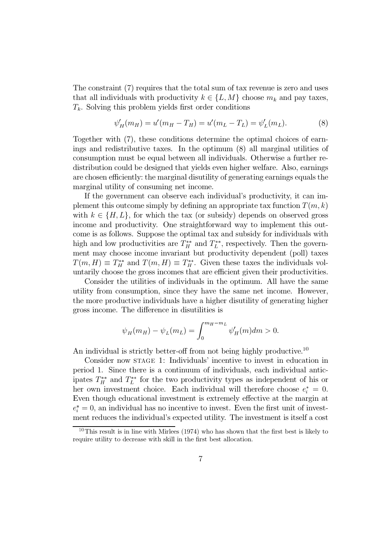The constraint (7) requires that the total sum of tax revenue is zero and uses that all individuals with productivity  $k \in \{L, M\}$  choose  $m_k$  and pay taxes,  $T_k$ . Solving this problem yields first order conditions

$$
\psi_H'(m_H) = u'(m_H - T_H) = u'(m_L - T_L) = \psi_L'(m_L). \tag{8}
$$

Together with (7), these conditions determine the optimal choices of earnings and redistributive taxes. In the optimum (8) all marginal utilities of consumption must be equal between all individuals. Otherwise a further redistribution could be designed that yields even higher welfare. Also, earnings are chosen efficiently: the marginal disutility of generating earnings equals the marginal utility of consuming net income.

If the government can observe each individual's productivity, it can implement this outcome simply by defining an appropriate tax function  $T(m, k)$ with  $k \in \{H, L\}$ , for which the tax (or subsidy) depends on observed gross income and productivity. One straightforward way to implement this outcome is as follows. Suppose the optimal tax and subsidy for individuals with high and low productivities are  $T_H^{**}$  and  $T_L^{**}$ , respectively. Then the government may choose income invariant but productivity dependent (poll) taxes  $T(m, H) \equiv T_H^{**}$  and  $T(m, H) \equiv T_H^{**}$ . Given these taxes the individuals voluntarily choose the gross incomes that are efficient given their productivities.

Consider the utilities of individuals in the optimum. All have the same utility from consumption, since they have the same net income. However, the more productive individuals have a higher disutility of generating higher gross income. The difference in disutilities is

$$
\psi_H(m_H) - \psi_L(m_L) = \int_0^{m_H - m_L} \psi'_H(m) dm > 0.
$$

An individual is strictly better-off from not being highly productive.<sup>10</sup>

Consider now STAGE 1: Individuals' incentive to invest in education in period 1. Since there is a continuum of individuals, each individual anticipates  $T_H^{**}$  and  $T_L^{**}$  for the two productivity types as independent of his or her own investment choice. Each individual will therefore choose  $e_i^* = 0$ . Even though educational investment is extremely effective at the margin at  $e_i^* = 0$ , an individual has no incentive to invest. Even the first unit of investment reduces the individual's expected utility. The investment is itself a cost

<sup>&</sup>lt;sup>10</sup>This result is in line with Mirlees (1974) who has shown that the first best is likely to require utility to decrease with skill in the first best allocation.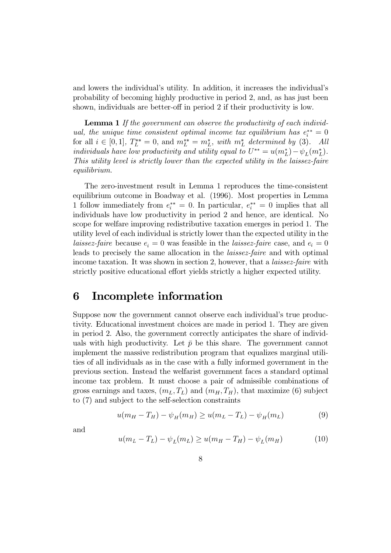and lowers the individual's utility. In addition, it increases the individual's probability of becoming highly productive in period 2, and, as has just been shown, individuals are better-off in period 2 if their productivity is low.

**Lemma 1** If the government can observe the productivity of each individual, the unique time consistent optimal income tax equilibrium has  $e_i^{**} = 0$ for all  $i \in [0,1]$ ,  $T_L^{**} = 0$ , and  $m_L^{**} = m_L^*$ , with  $m_L^*$  determined by (3). All individuals have low productivity and utility equal to  $U^{**} = u(m_L^*) - \psi_L(m_L^*)$ . This utility level is strictly lower than the expected utility in the laissez-faire equilibrium.

The zero-investment result in Lemma 1 reproduces the time-consistent equilibrium outcome in Boadway et al. (1996). Most properties in Lemma 1 follow immediately from  $e_i^{**} = 0$ . In particular,  $e_i^{**} = 0$  implies that all individuals have low productivity in period 2 and hence, are identical. No scope for welfare improving redistributive taxation emerges in period 1. The utility level of each individual is strictly lower than the expected utility in the *laissez-faire* because  $e_i = 0$  was feasible in the *laissez-faire* case, and  $e_i = 0$ leads to precisely the same allocation in the *laissez-faire* and with optimal income taxation. It was shown in section 2, however, that a *laissez-faire* with strictly positive educational effort yields strictly a higher expected utility.

#### 6 Incomplete information

Suppose now the government cannot observe each individual's true productivity. Educational investment choices are made in period 1. They are given in period 2. Also, the government correctly anticipates the share of individuals with high productivity. Let  $\bar{p}$  be this share. The government cannot implement the massive redistribution program that equalizes marginal utilities of all individuals as in the case with a fully informed government in the previous section. Instead the welfarist government faces a standard optimal income tax problem. It must choose a pair of admissible combinations of gross earnings and taxes,  $(m_L, T_L)$  and  $(m_H, T_H)$ , that maximize (6) subject to (7) and subject to the self-selection constraints

$$
u(m_H - T_H) - \psi_H(m_H) \ge u(m_L - T_L) - \psi_H(m_L)
$$
\n(9)

and

$$
u(m_L - T_L) - \psi_L(m_L) \ge u(m_H - T_H) - \psi_L(m_H)
$$
\n(10)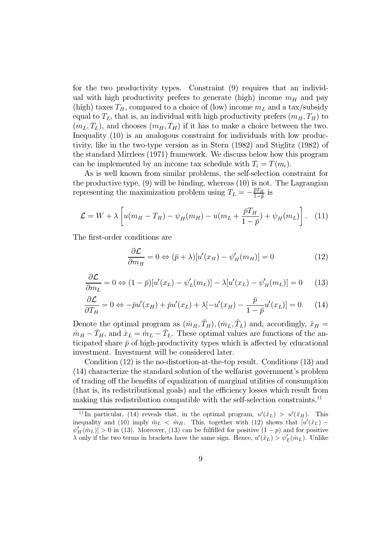for the two productivity types. Constraint (9) requires that an individual with high productivity prefers to generate (high) income  $m_H$  and pay (high) taxes  $T_H$ , compared to a choice of (low) income  $m_L$  and a tax/subsidy equal to  $T_L$ , that is, an individual with high productivity prefers  $(m_H, T_H)$  to  $(m_L, T_L)$ , and chooses  $(m_H, T_H)$  if it has to make a choice between the two. Inequality (10) is an analogous constraint for individuals with low productivity, like in the two-type version as in Stern (1982) and Stiglitz (1982) of the standard Mirrlees (1971) framework. We discuss below how this program can be implemented by an income tax schedule with  $T_i = T(m_i)$ .

As is well known from similar problems, the self-selection constraint for the productive type,  $(9)$  will be binding, whereas  $(10)$  is not. The Lagrangian representing the maximization problem using  $T_L = -\frac{\bar{p}T_H}{1-\bar{p}}$  is

$$
\mathcal{L} = W + \lambda \left[ u(m_H - T_H) - \psi_H(m_H) - u(m_L + \frac{\bar{p}T_H}{1 - \bar{p}}) + \psi_H(m_L) \right]. \tag{11}
$$

The first-order conditions are

$$
\frac{\partial \mathcal{L}}{\partial m_H} = 0 \Leftrightarrow (\bar{p} + \lambda)[u'(x_H) - \psi'_H(m_H)] = 0 \tag{12}
$$

$$
\frac{\partial \mathcal{L}}{\partial m_L} = 0 \Leftrightarrow (1 - \bar{p})[u'(x_L) - \psi'_L(m_L)] - \lambda[u'(x_L) - \psi'_H(m_L)] = 0 \tag{13}
$$

$$
\frac{\partial \mathcal{L}}{\partial T_H} = 0 \Leftrightarrow -\bar{p}u'(x_H) + \bar{p}u'(x_L) + \lambda [-u'(x_H) - \frac{\bar{p}}{1 - \bar{p}}u'(x_L)] = 0. \tag{14}
$$

Denote the optimal program as  $(\hat{m}_H, \hat{T}_H), (\hat{m}_L, \hat{T}_L)$  and, accordingly,  $\hat{x}_H =$  $\hat{m}_H - \hat{T}_H$ , and  $\hat{x}_L = \hat{m}_L - \hat{T}_L$ . These optimal values are functions of the anticipated share  $\bar{p}$  of high-productivity types which is affected by educational investment. Investment will be considered later.

Condition  $(12)$  is the no-distortion-at-the-top result. Conditions  $(13)$  and (14) characterize the standard solution of the welfarist government's problem of trading off the benefits of equalization of marginal utilities of consumption (that is, its redistributional goals) and the efficiency losses which result from making this redistribution compatible with the self-selection constraints.<sup>11</sup>

<sup>&</sup>lt;sup>11</sup>In particular, (14) reveals that, in the optimal program,  $u'(\hat{x}_L) > u'(\hat{x}_H)$ . This inequality and (10) imply  $\hat{m}_L < \hat{m}_H$ . This, together with (12) shows that  $[u'(\hat{x}_L) \psi'_H(\hat{m}_L) > 0$  in (13). Moreover, (13) can be fulfilled for positive  $(1-p)$  and for positive  $\lambda$  only if the two terms in brackets have the same sign. Hence,  $u'(\hat{x}_L) > \psi'_L(\hat{m}_L)$ . Unlike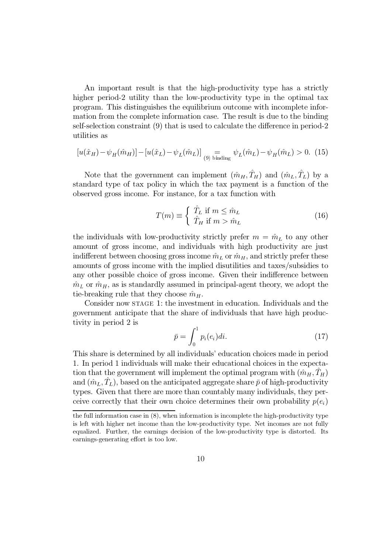An important result is that the high-productivity type has a strictly higher period-2 utility than the low-productivity type in the optimal tax program. This distinguishes the equilibrium outcome with incomplete information from the complete information case. The result is due to the binding self-selection constraint (9) that is used to calculate the difference in period-2 utilities as

$$
[u(\hat{x}_H) - \psi_H(\hat{m}_H)] - [u(\hat{x}_L) - \psi_L(\hat{m}_L)] = \psi_L(\hat{m}_L) - \psi_H(\hat{m}_L) > 0.
$$
 (15)

Note that the government can implement  $(\hat{m}_H, \hat{T}_H)$  and  $(\hat{m}_L, \hat{T}_L)$  by a standard type of tax policy in which the tax payment is a function of the observed gross income. For instance, for a tax function with

$$
T(m) \equiv \begin{cases} \hat{T}_L \text{ if } m \le \hat{m}_L\\ \hat{T}_H \text{ if } m > \hat{m}_L \end{cases}
$$
(16)

the individuals with low-productivity strictly prefer  $m = \hat{m}_L$  to any other amount of gross income, and individuals with high productivity are just indifferent between choosing gross income  $\hat{m}_L$  or  $\hat{m}_H$ , and strictly prefer these amounts of gross income with the implied disutilities and taxes/subsidies to any other possible choice of gross income. Given their indifference between  $\hat{m}_L$  or  $\hat{m}_H$ , as is standardly assumed in principal-agent theory, we adopt the tie-breaking rule that they choose  $\hat{m}_H$ .

Consider now STAGE 1: the investment in education. Individuals and the government anticipate that the share of individuals that have high productivity in period 2 is

$$
\bar{p} = \int_0^1 p_i(e_i)di.
$$
\n(17)

This share is determined by all individuals' education choices made in period 1. In period 1 individuals will make their educational choices in the expectation that the government will implement the optimal program with  $(\hat{m}_H, T_H)$ and  $(\hat{m}_L, T_L)$ , based on the anticipated aggregate share  $\bar{p}$  of high-productivity types. Given that there are more than countably many individuals, they perceive correctly that their own choice determines their own probability  $p(e_i)$ 

the full information case in (8), when information is incomplete the high-productivity type is left with higher net income than the low-productivity type. Net incomes are not fully equalized. Further, the earnings decision of the low-productivity type is distorted. Its earnings-generating effort is too low.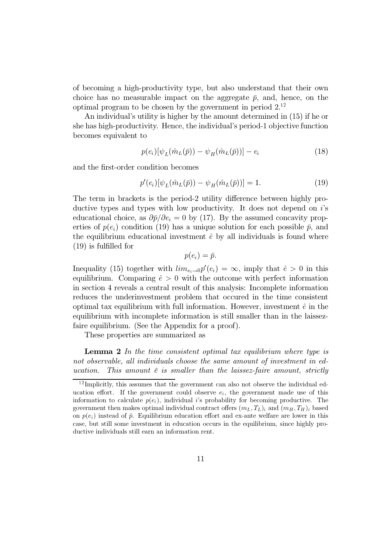of becoming a high-productivity type, but also understand that their own choice has no measurable impact on the aggregate  $\bar{p}$ , and, hence, on the optimal program to be chosen by the government in period  $2^{12}$ 

An individual's utility is higher by the amount determined in (15) if he or she has high-productivity. Hence, the individual's period-1 objective function becomes equivalent to

$$
p(e_i)[\psi_L(\hat{m}_L(\bar{p})) - \psi_H(\hat{m}_L(\bar{p}))] - e_i \tag{18}
$$

and the first-order condition becomes

$$
p'(e_i)[\psi_L(\hat{m}_L(\bar{p})) - \psi_H(\hat{m}_L(\bar{p}))] = 1.
$$
\n(19)

The term in brackets is the period-2 utility difference between highly productive types and types with low productivity. It does not depend on is educational choice, as  $\partial \bar{p}/\partial e_i = 0$  by (17). By the assumed concavity properties of  $p(e_i)$  condition (19) has a unique solution for each possible  $\bar{p}$ , and the equilibrium educational investment  $\hat{e}$  by all individuals is found where  $(19)$  is fulfilled for

$$
p(e_i) = \bar{p}.
$$

Inequality (15) together with  $\lim_{e_i \to 0} p'(e_i) = \infty$ , imply that  $\hat{e} > 0$  in this equilibrium. Comparing  $\hat{e} > 0$  with the outcome with perfect information in section 4 reveals a central result of this analysis: Incomplete information reduces the underinvestment problem that occured in the time consistent optimal tax equilibrium with full information. However, investment  $\hat{e}$  in the equilibrium with incomplete information is still smaller than in the laissezfaire equilibrium. (See the Appendix for a proof).

These properties are summarized as

**Lemma 2** In the time consistent optimal tax equilibrium where type is not observable, all individuals choose the same amount of investment in ed-This amount  $\hat{e}$  is smaller than the laissez-faire amount, strictly *ucation.* 

 $12$  Implicitly, this assumes that the government can also not observe the individual education effort. If the government could observe  $e_i$ , the government made use of this information to calculate  $p(e_i)$ , individual i's probability for becoming productive. The government then makes optimal individual contract offers  $(m_L, T_L)$  and  $(m_H, T_H)$  based on  $p(e_i)$  instead of  $\bar{p}$ . Equilibrium education effort and ex-ante welfare are lower in this case, but still some investment in education occurs in the equilibrium, since highly productive individuals still earn an information rent.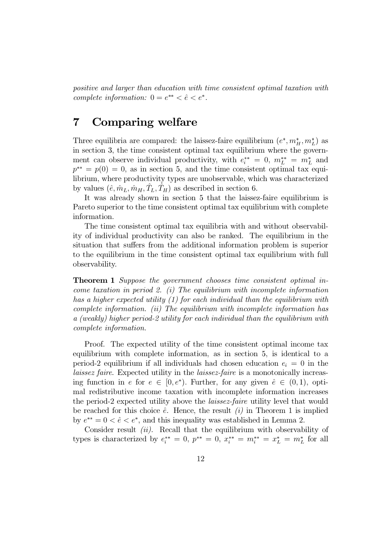positive and larger than education with time consistent optimal taxation with complete information:  $0 = e^{**} < \hat{e} < e^*$ .

#### **Comparing welfare**  $\overline{7}$

Three equilibria are compared: the laissez-faire equilibrium  $(e^*, m_H^*, m_L^*)$  as in section 3, the time consistent optimal tax equilibrium where the government can observe individual productivity, with  $e_i^{**} = 0$ ,  $m_L^{**} = m_L^*$  and  $p^{**} = p(0) = 0$ , as in section 5, and the time consistent optimal tax equilibrium, where productivity types are unobservable, which was characterized by values  $(\hat{e}, \hat{m}_L, \hat{m}_H, T_L, T_H)$  as described in section 6.

It was already shown in section 5 that the laissez-faire equilibrium is Pareto superior to the time consistent optimal tax equilibrium with complete information.

The time consistent optimal tax equilibria with and without observability of individual productivity can also be ranked. The equilibrium in the situation that suffers from the additional information problem is superior to the equilibrium in the time consistent optimal tax equilibrium with full observability.

**Theorem 1** Suppose the government chooses time consistent optimal income taxation in period 2. (i) The equilibrium with incomplete information has a higher expected utility  $(1)$  for each individual than the equilibrium with complete information. (ii) The equilibrium with incomplete information has a (weakly) higher period-2 utility for each individual than the equilibrium with complete information.

Proof. The expected utility of the time consistent optimal income tax equilibrium with complete information, as in section 5, is identical to a period-2 equilibrium if all individuals had chosen education  $e_i = 0$  in the *laissez faire.* Expected utility in the *laissez-faire* is a monotonically increasing function in e for  $e \in [0, e^* )$ . Further, for any given  $\hat{e} \in (0, 1)$ , optimal redistributive income taxation with incomplete information increases the period-2 expected utility above the *laissez-faire* utility level that would be reached for this choice  $\hat{e}$ . Hence, the result (i) in Theorem 1 is implied by  $e^{**} = 0 < \hat{e} < e^*$ , and this inequality was established in Lemma 2.

Consider result  $(ii)$ . Recall that the equilibrium with observability of types is characterized by  $e_i^{**} = 0$ ,  $p^{**} = 0$ ,  $x_i^{**} = m_i^{**} = x_L^* = m_L^*$  for all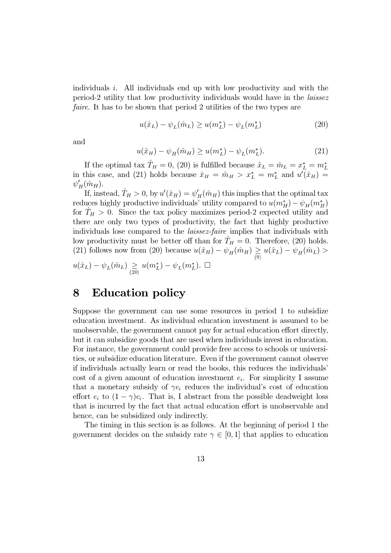individuals i. All individuals end up with low productivity and with the period-2 utility that low productivity individuals would have in the *laissez faire*. It has to be shown that period 2 utilities of the two types are

$$
u(\hat{x}_L) - \psi_L(\hat{m}_L) \ge u(m_L^*) - \psi_L(m_L^*)
$$
\n(20)

and

$$
u(\hat{x}_H) - \psi_H(\hat{m}_H) \ge u(m_L^*) - \psi_L(m_L^*).
$$
\n(21)

If the optimal tax  $\hat{T}_H = 0$ , (20) is fulfilled because  $\hat{x}_L = \hat{m}_L = x_L^* = m_L^*$ in this case, and (21) holds because  $\hat{x}_H = \hat{m}_H > x_L^* = m_L^*$  and  $u'(\hat{x}_H)$  $\psi'_H(\hat{m}_H)$ .

If, instead,  $T_H > 0$ , by  $u'(\hat{x}_H) = \psi'_H(\hat{m}_H)$  this implies that the optimal tax reduces highly productive individuals' utility compared to  $u(m_H^*) - \psi_H(m_H^*)$ for  $T_H > 0$ . Since the tax policy maximizes period-2 expected utility and there are only two types of productivity, the fact that highly productive individuals lose compared to the *laissez-faire* implies that individuals with low productivity must be better off than for  $\hat{T}_H = 0$ . Therefore, (20) holds. (21) follows now from (20) because  $u(\hat{x}_H) - \psi_H(\hat{m}_H) \geq u(\hat{x}_L) - \psi_H(\hat{m}_L)$  $u(\hat{x}_L) - \psi_L(\hat{m}_L) \underset{(20)}{\geq} u(m_L^*) - \psi_L(m_L^*).$   $\Box$ 

#### **Education policy** 8

Suppose the government can use some resources in period 1 to subsidize education investment. As individual education investment is assumed to be unobservable, the government cannot pay for actual education effort directly, but it can subsidize goods that are used when individuals invest in education. For instance, the government could provide free access to schools or universities, or subsidize education literature. Even if the government cannot observe if individuals actually learn or read the books, this reduces the individuals' cost of a given amount of education investment  $e_i$ . For simplicity I assume that a monetary subsidy of  $\gamma e_i$  reduces the individual's cost of education effort  $e_i$  to  $(1 - \gamma)e_i$ . That is, I abstract from the possible deadweight loss that is incurred by the fact that actual education effort is unobservable and hence, can be subsidized only indirectly.

The timing in this section is as follows. At the beginning of period 1 the government decides on the subsidy rate  $\gamma \in [0,1]$  that applies to education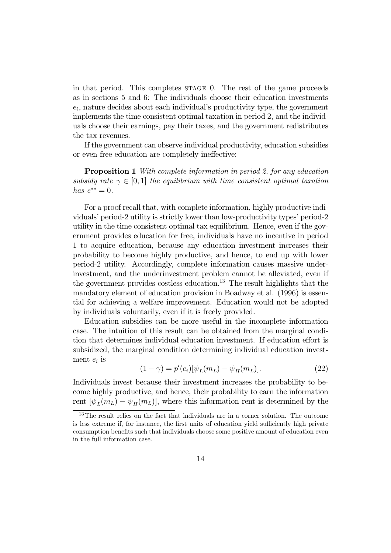in that period. This completes STAGE 0. The rest of the game proceeds as in sections 5 and 6: The individuals choose their education investments  $e_i$ , nature decides about each individual's productivity type, the government implements the time consistent optimal taxation in period 2, and the individuals choose their earnings, pay their taxes, and the government redistributes the tax revenues.

If the government can observe individual productivity, education subsidies or even free education are completely ineffective:

**Proposition 1** With complete information in period 2, for any education subsidy rate  $\gamma \in [0,1]$  the equilibrium with time consistent optimal taxation *has*  $e^{**} = 0$ .

For a proof recall that, with complete information, highly productive individuals' period-2 utility is strictly lower than low-productivity types' period-2 utility in the time consistent optimal tax equilibrium. Hence, even if the government provides education for free, individuals have no incentive in period 1 to acquire education, because any education investment increases their probability to become highly productive, and hence, to end up with lower period-2 utility. Accordingly, complete information causes massive underinvestment, and the underinvestment problem cannot be alleviated, even if the government provides costless education.<sup>13</sup> The result highlights that the mandatory element of education provision in Boadway et al. (1996) is essential for achieving a welfare improvement. Education would not be adopted by individuals voluntarily, even if it is freely provided.

Education subsidies can be more useful in the incomplete information case. The intuition of this result can be obtained from the marginal condition that determines individual education investment. If education effort is subsidized, the marginal condition determining individual education investment  $e_i$  is

$$
(1 - \gamma) = p'(e_i)[\psi_L(m_L) - \psi_H(m_L)].
$$
\n(22)

Individuals invest because their investment increases the probability to become highly productive, and hence, their probability to earn the information rent  $[\psi_L(m_L) - \psi_H(m_L)]$ , where this information rent is determined by the

 $13$ The result relies on the fact that individuals are in a corner solution. The outcome is less extreme if, for instance, the first units of education yield sufficiently high private consumption benefits such that individuals choose some positive amount of education even in the full information case.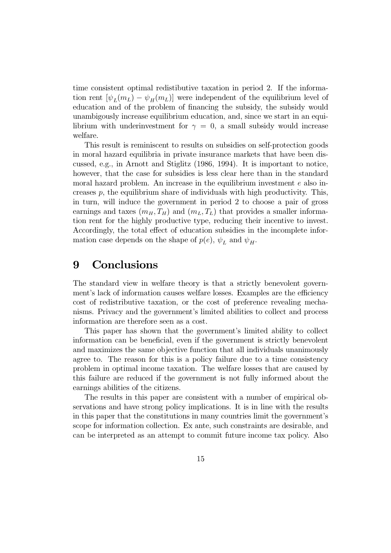time consistent optimal redistibutive taxation in period 2. If the information rent  $[\psi_L(m_L) - \psi_H(m_L)]$  were independent of the equilibrium level of education and of the problem of financing the subsidy, the subsidy would unambigously increase equilibrium education, and, since we start in an equilibrium with underinvestment for  $\gamma = 0$ , a small subsidy would increase welfare.

This result is reminiscent to results on subsidies on self-protection goods in moral hazard equilibria in private insurance markets that have been discussed, e.g., in Arnott and Stiglitz (1986, 1994). It is important to notice, however, that the case for subsidies is less clear here than in the standard moral hazard problem. An increase in the equilibrium investment  $e$  also increases  $p$ , the equilibrium share of individuals with high productivity. This, in turn, will induce the government in period 2 to choose a pair of gross earnings and taxes  $(m_H, T_H)$  and  $(m_L, T_L)$  that provides a smaller information rent for the highly productive type, reducing their incentive to invest. Accordingly, the total effect of education subsidies in the incomplete information case depends on the shape of  $p(e)$ ,  $\psi_L$  and  $\psi_H$ .

#### Conclusions 9

The standard view in welfare theory is that a strictly benevolent government's lack of information causes welfare losses. Examples are the efficiency cost of redistributive taxation, or the cost of preference revealing mechanisms. Privacy and the government's limited abilities to collect and process information are therefore seen as a cost.

This paper has shown that the government's limited ability to collect information can be beneficial, even if the government is strictly benevolent and maximizes the same objective function that all individuals unanimously agree to. The reason for this is a policy failure due to a time consistency problem in optimal income taxation. The welfare losses that are caused by this failure are reduced if the government is not fully informed about the earnings abilities of the citizens.

The results in this paper are consistent with a number of empirical observations and have strong policy implications. It is in line with the results in this paper that the constitutions in many countries limit the government's scope for information collection. Ex ante, such constraints are desirable, and can be interpreted as an attempt to commit future income tax policy. Also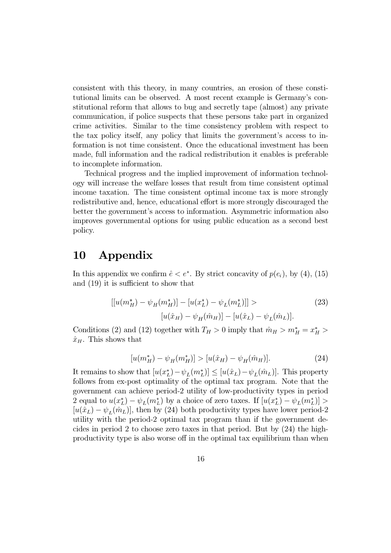consistent with this theory, in many countries, an erosion of these constitutional limits can be observed. A most recent example is Germany's constitutional reform that allows to bug and secretly tape (almost) any private communication, if police suspects that these persons take part in organized crime activities. Similar to the time consistency problem with respect to the tax policy itself, any policy that limits the government's access to information is not time consistent. Once the educational investment has been made, full information and the radical redistribution it enables is preferable to incomplete information.

Technical progress and the implied improvement of information technology will increase the welfare losses that result from time consistent optimal income taxation. The time consistent optimal income tax is more strongly redistributive and, hence, educational effort is more strongly discouraged the better the government's access to information. Asymmetric information also improves governmental options for using public education as a second best policy.

#### Appendix 10

In this appendix we confirm  $\hat{e} < e^*$ . By strict concavity of  $p(e_i)$ , by (4), (15) and  $(19)$  it is sufficient to show that

$$
[[u(m_H^*) - \psi_H(m_H^*)] - [u(x_L^*) - \psi_L(m_L^*)]] >
$$
\n
$$
[u(\hat{x}_H) - \psi_H(\hat{m}_H)] - [u(\hat{x}_L) - \psi_L(\hat{m}_L)].
$$
\n(23)

Conditions (2) and (12) together with  $T_H > 0$  imply that  $\hat{m}_H > m_H^* = x_H^* >$  $\hat{x}_H$ . This shows that

$$
[u(m_H^*) - \psi_H(m_H^*)] > [u(\hat{x}_H) - \psi_H(\hat{m}_H)].
$$
\n(24)

It remains to show that  $[u(x_L^*) - \psi_L(m_L^*)] \leq [u(\hat{x}_L) - \psi_L(\hat{m}_L)]$ . This property follows from ex-post optimality of the optimal tax program. Note that the government can achieve period-2 utility of low-productivity types in period 2 equal to  $u(x_L^*) - \psi_L(m_L^*)$  by a choice of zero taxes. If  $[u(x_L^*) - \psi_L(m_L^*)] >$  $[u(\hat{x}_L) - \psi_L(\hat{m}_L)]$ , then by (24) both productivity types have lower period-2 utility with the period-2 optimal tax program than if the government decides in period 2 to choose zero taxes in that period. But by  $(24)$  the highproductivity type is also worse off in the optimal tax equilibrium than when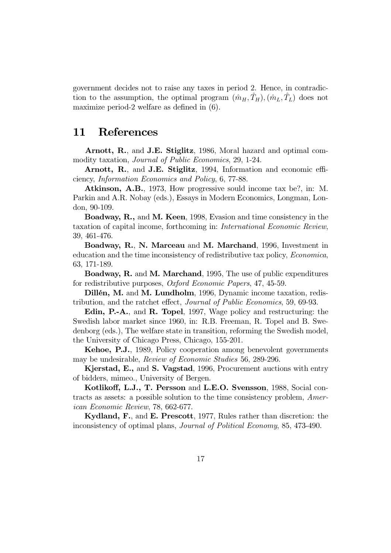government decides not to raise any taxes in period 2. Hence, in contradiction to the assumption, the optimal program  $(\hat{m}_H, \hat{T}_H), (\hat{m}_L, \hat{T}_L)$  does not maximize period-2 welfare as defined in  $(6)$ .

#### References 11

Arnott, R., and J.E. Stiglitz, 1986, Moral hazard and optimal commodity taxation, *Journal of Public Economics*, 29, 1-24.

Arnott, R., and J.E. Stiglitz, 1994, Information and economic efficiency, Information Economics and Policy, 6, 77-88.

Atkinson, A.B., 1973, How progressive sould income tax be?, in: M. Parkin and A.R. Nobay (eds.), Essays in Modern Economics, Longman, London, 90-109.

**Boadway, R., and M. Keen, 1998, Evasion and time consistency in the** taxation of capital income, forthcoming in: International Economic Review, 39, 461-476.

Boadway, R., N. Marceau and M. Marchand, 1996, Investment in education and the time inconsistency of redistributive tax policy, *Economica*, 63, 171-189.

**Boadway, R.** and M. Marchand, 1995, The use of public expenditures for redistributive purposes, *Oxford Economic Papers*, 47, 45-59.

Dillén, M. and M. Lundholm, 1996, Dynamic income taxation, redistribution, and the ratchet effect, *Journal of Public Economics*, 59, 69-93.

Edin, P.-A., and R. Topel, 1997, Wage policy and restructuring: the Swedish labor market since 1960, in: R.B. Freeman, R. Topel and B. Swedenborg (eds.), The welfare state in transition, reforming the Swedish model, the University of Chicago Press, Chicago, 155-201.

Kehoe, P.J., 1989, Policy cooperation among benevolent governments may be undesirable, *Review of Economic Studies* 56, 289-296.

Kjerstad, E., and S. Vagstad, 1996, Procurement auctions with entry of bidders, mimeo., University of Bergen.

Kotlikoff, L.J., T. Persson and L.E.O. Svensson, 1988, Social contracts as assets: a possible solution to the time consistency problem, American Economic Review, 78, 662-677.

Kydland, F., and E. Prescott, 1977, Rules rather than discretion: the inconsistency of optimal plans, *Journal of Political Economy*, 85, 473-490.